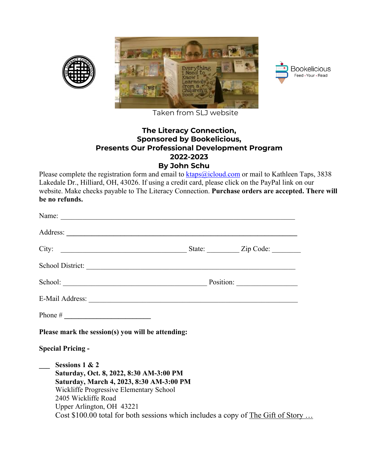



Taken from SLJ website

## **The Literacy Connection, Sponsored by Bookelicious, Presents Our Professional Development Program 2022-2023 By John Schu**

Please complete the registration form and email to **ktaps@icloud.com** or mail to Kathleen Taps, 3838 Lakedale Dr., Hilliard, OH, 43026. If using a credit card, please click on the PayPal link on our website. Make checks payable to The Literacy Connection. **Purchase orders are accepted. There will be no refunds.**

|                                                                                                                                                                                                                                                                                          | School: Position: Position: |  |
|------------------------------------------------------------------------------------------------------------------------------------------------------------------------------------------------------------------------------------------------------------------------------------------|-----------------------------|--|
|                                                                                                                                                                                                                                                                                          |                             |  |
|                                                                                                                                                                                                                                                                                          |                             |  |
| Please mark the session(s) you will be attending:                                                                                                                                                                                                                                        |                             |  |
| <b>Special Pricing -</b>                                                                                                                                                                                                                                                                 |                             |  |
| Sessions 1 & 2<br>Saturday, Oct. 8, 2022, 8:30 AM-3:00 PM<br>Saturday, March 4, 2023, 8:30 AM-3:00 PM<br>Wickliffe Progressive Elementary School<br>2405 Wickliffe Road<br>Upper Arlington, OH 43221<br>Cost \$100.00 total for both sessions which includes a copy of The Gift of Story |                             |  |